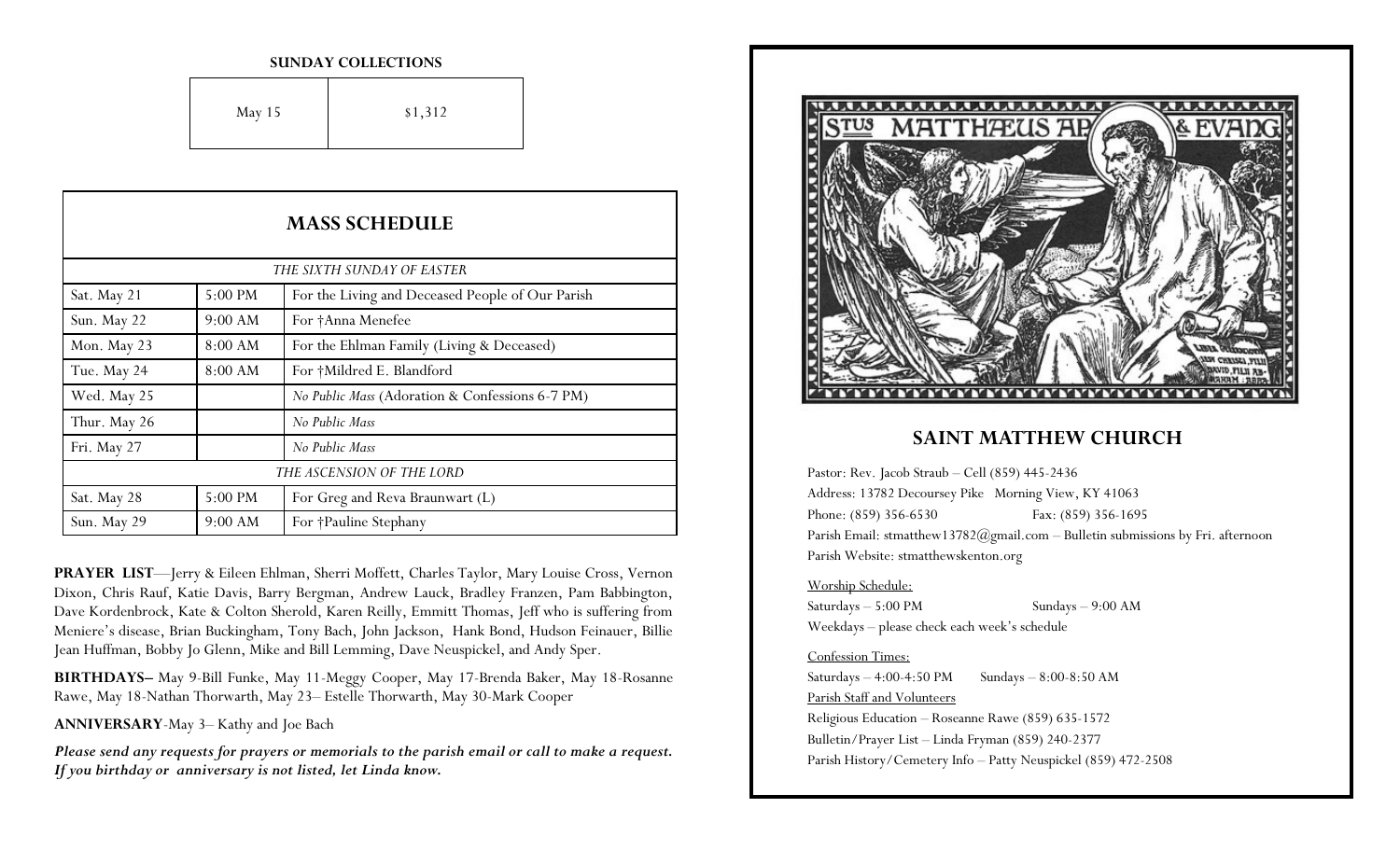#### **SUNDAY COLLECTIONS**

| May 15 | \$1,312 |
|--------|---------|
|--------|---------|

| <b>MASS SCHEDULE</b>       |                   |                                                  |  |
|----------------------------|-------------------|--------------------------------------------------|--|
| THE SIXTH SUNDAY OF EASTER |                   |                                                  |  |
| Sat. May 21                | $5:00 \text{ PM}$ | For the Living and Deceased People of Our Parish |  |
| Sun. May 22                | 9:00 AM           | For †Anna Menefee                                |  |
| Mon. May 23                | 8:00 AM           | For the Ehlman Family (Living & Deceased)        |  |
| Tue. May 24                | 8:00 AM           | For †Mildred E. Blandford                        |  |
| Wed. May 25                |                   | No Public Mass (Adoration & Confessions 6-7 PM)  |  |
| Thur. May 26               |                   | No Public Mass                                   |  |
| Fri. May 27                |                   | No Public Mass                                   |  |
| THE ASCENSION OF THE LORD  |                   |                                                  |  |
| Sat. May 28                | 5:00 PM           | For Greg and Reva Braunwart (L)                  |  |
| Sun. May 29                | 9:00 AM           | For †Pauline Stephany                            |  |

**PRAYER LIST**—Jerry & Eileen Ehlman, Sherri Moffett, Charles Taylor, Mary Louise Cross, Vernon Dixon, Chris Rauf, Katie Davis, Barry Bergman, Andrew Lauck, Bradley Franzen, Pam Babbington, Dave Kordenbrock, Kate & Colton Sherold, Karen Reilly, Emmitt Thomas, Jeff who is suffering from Meniere's disease, Brian Buckingham, Tony Bach, John Jackson, Hank Bond, Hudson Feinauer, Billie Jean Huffman, Bobby Jo Glenn, Mike and Bill Lemming, Dave Neuspickel, and Andy Sper.

**BIRTHDAYS–** May 9-Bill Funke, May 11-Meggy Cooper, May 17-Brenda Baker, May 18-Rosanne Rawe, May 18-Nathan Thorwarth, May 23– Estelle Thorwarth, May 30-Mark Cooper

**ANNIVERSARY**-May 3– Kathy and Joe Bach

*Please send any requests for prayers or memorials to the parish email or call to make a request. If you birthday or anniversary is not listed, let Linda know.*



### **SAINT MATTHEW CHURCH**

Pastor: Rev. Jacob Straub – Cell (859) 445-2436 Address: 13782 Decoursey Pike Morning View, KY 41063 Phone: (859) 356-6530 Fax: (859) 356-1695 Parish Email: stmatthew13782@gmail.com - Bulletin submissions by Fri. afternoon Parish Website: stmatthewskenton.org

### Worship Schedule:

Saturdays – 5:00 PM Sundays – 9:00 AM Weekdays – please check each week's schedule

### Confession Times:

Saturdays  $-4:00-4:50 \text{ PM}$  Sundays  $-8:00-8:50 \text{ AM}$ Parish Staff and Volunteers Religious Education – Roseanne Rawe (859) 635-1572 Bulletin/Prayer List – Linda Fryman (859) 240-2377 Parish History/Cemetery Info – Patty Neuspickel (859) 472-2508